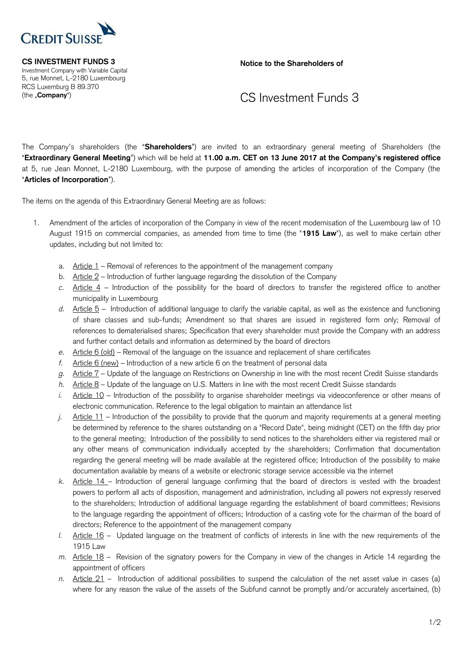

 Investment Company with Variable Capital 5, rue Monnet, L-2180 Luxembourg RCS Luxemburg B 89.370

**CS INVESTMENT FUNDS 3** Notice to the Shareholders of

## (the "**Company**") CS Investment Funds 3

 The Company's shareholders (the "**Shareholders**") are invited to an extraordinary general meeting of Shareholders (the "**Extraordinary General Meeting**") which will be held at **11.00 a.m. CET on 13 June 2017 at the Company's registered office** at 5, rue Jean Monnet, L-2180 Luxembourg, with the purpose of amending the articles of incorporation of the Company (the "**Articles of Incorporation**").

The items on the agenda of this Extraordinary General Meeting are as follows:

- 1. Amendment of the articles of incorporation of the Company in view of the recent modernisation of the Luxembourg law of 10 August 1915 on commercial companies, as amended from time to time (the "**1915 Law**"), as well to make certain other updates, including but not limited to:
	- a. Article 1 Removal of references to the appointment of the management company
	- b. Article 2 Introduction of further language regarding the dissolution of the Company
	- *c.* Article 4 Introduction of the possibility for the board of directors to transfer the registered office to another municipality in Luxembourg
	- *d.* Article 5 Introduction of additional language to clarify the variable capital, as well as the existence and functioning of share classes and sub-funds; Amendment so that shares are issued in registered form only; Removal of references to dematerialised shares; Specification that every shareholder must provide the Company with an address and further contact details and information as determined by the board of directors
	- *e.* Article 6 (old) Removal of the language on the issuance and replacement of share certificates
	- *f.* Article 6 (new) Introduction of a new article 6 on the treatment of personal data
	- *g.* Article 7 Update of the language on Restrictions on Ownership in line with the most recent Credit Suisse standards
	- *h.* Article 8 Update of the language on U.S. Matters in line with the most recent Credit Suisse standards
	- *i.* Article 10 Introduction of the possibility to organise shareholder meetings via videoconference or other means of electronic communication. Reference to the legal obligation to maintain an attendance list
	- *j.* Article 11 Introduction of the possibility to provide that the quorum and majority requirements at a general meeting be determined by reference to the shares outstanding on a "Record Date", being midnight (CET) on the fifth day prior to the general meeting; Introduction of the possibility to send notices to the shareholders either via registered mail or any other means of communication individually accepted by the shareholders; Confirmation that documentation regarding the general meeting will be made available at the registered office; Introduction of the possibility to make documentation available by means of a website or electronic storage service accessible via the internet
	- *k.* Article 14 Introduction of general language confirming that the board of directors is vested with the broadest powers to perform all acts of disposition, management and administration, including all powers not expressly reserved to the shareholders; Introduction of additional language regarding the establishment of board committees; Revisions to the language regarding the appointment of officers; Introduction of a casting vote for the chairman of the board of directors; Reference to the appointment of the management company
	- *l.* Article 16 Updated language on the treatment of conflicts of interests in line with the new requirements of the 1915 Law
	- *m.* Article 18 Revision of the signatory powers for the Company in view of the changes in Article 14 regarding the appointment of officers
	- *n.* Article 21 Introduction of additional possibilities to suspend the calculation of the net asset value in cases (a) where for any reason the value of the assets of the Subfund cannot be promptly and/or accurately ascertained, (b)